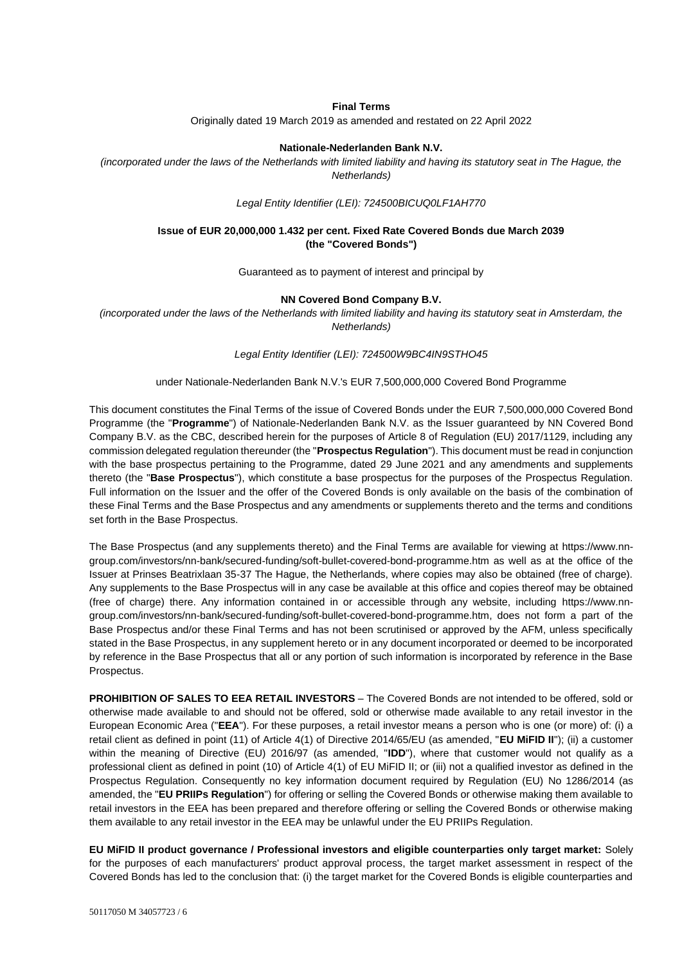#### **Final Terms**

Originally dated 19 March 2019 as amended and restated on 22 April 2022

#### **Nationale-Nederlanden Bank N.V.**

*(incorporated under the laws of the Netherlands with limited liability and having its statutory seat in The Hague, the Netherlands)*

*Legal Entity Identifier (LEI): 724500BICUQ0LF1AH770*

### **Issue of EUR 20,000,000 1.432 per cent. Fixed Rate Covered Bonds due March 2039 (the "Covered Bonds")**

Guaranteed as to payment of interest and principal by

#### **NN Covered Bond Company B.V.**

*(incorporated under the laws of the Netherlands with limited liability and having its statutory seat in Amsterdam, the Netherlands)*

*Legal Entity Identifier (LEI): 724500W9BC4IN9STHO45*

#### under Nationale-Nederlanden Bank N.V.'s EUR 7,500,000,000 Covered Bond Programme

This document constitutes the Final Terms of the issue of Covered Bonds under the EUR 7,500,000,000 Covered Bond Programme (the "**Programme**") of Nationale-Nederlanden Bank N.V. as the Issuer guaranteed by NN Covered Bond Company B.V. as the CBC, described herein for the purposes of Article 8 of Regulation (EU) 2017/1129, including any commission delegated regulation thereunder (the "**Prospectus Regulation**"). This document must be read in conjunction with the base prospectus pertaining to the Programme, dated 29 June 2021 and any amendments and supplements thereto (the "**Base Prospectus**"), which constitute a base prospectus for the purposes of the Prospectus Regulation. Full information on the Issuer and the offer of the Covered Bonds is only available on the basis of the combination of these Final Terms and the Base Prospectus and any amendments or supplements thereto and the terms and conditions set forth in the Base Prospectus.

The Base Prospectus (and any supplements thereto) and the Final Terms are available for viewing at [https://www.nn](https://www.nn-group.com/investors/nn-bank/secured-funding/soft-bullet-covered-bond-programme.htm)[group.com/investors/nn-bank/secured-funding/soft-bullet-covered-bond-programme.htm](https://www.nn-group.com/investors/nn-bank/secured-funding/soft-bullet-covered-bond-programme.htm) as well as at the office of the Issuer at Prinses Beatrixlaan 35-37 The Hague, the Netherlands, where copies may also be obtained (free of charge). Any supplements to the Base Prospectus will in any case be available at this office and copies thereof may be obtained (free of charge) there. Any information contained in or accessible through any website, including [https://www.nn](https://www.nn-group.com/investors/nn-bank/secured-funding/soft-bullet-covered-bond-programme.htm)[group.com/investors/nn-bank/secured-funding/soft-bullet-covered-bond-programme.htm,](https://www.nn-group.com/investors/nn-bank/secured-funding/soft-bullet-covered-bond-programme.htm) does not form a part of the Base Prospectus and/or these Final Terms and has not been scrutinised or approved by the AFM, unless specifically stated in the Base Prospectus, in any supplement hereto or in any document incorporated or deemed to be incorporated by reference in the Base Prospectus that all or any portion of such information is incorporated by reference in the Base Prospectus.

**PROHIBITION OF SALES TO EEA RETAIL INVESTORS** – The Covered Bonds are not intended to be offered, sold or otherwise made available to and should not be offered, sold or otherwise made available to any retail investor in the European Economic Area ("**EEA**"). For these purposes, a retail investor means a person who is one (or more) of: (i) a retail client as defined in point (11) of Article 4(1) of Directive 2014/65/EU (as amended, "**EU MiFID II**"); (ii) a customer within the meaning of Directive (EU) 2016/97 (as amended, "**IDD**"), where that customer would not qualify as a professional client as defined in point (10) of Article 4(1) of EU MiFID II; or (iii) not a qualified investor as defined in the Prospectus Regulation. Consequently no key information document required by Regulation (EU) No 1286/2014 (as amended, the "**EU PRIIPs Regulation**") for offering or selling the Covered Bonds or otherwise making them available to retail investors in the EEA has been prepared and therefore offering or selling the Covered Bonds or otherwise making them available to any retail investor in the EEA may be unlawful under the EU PRIIPs Regulation.

**EU MiFID II product governance / Professional investors and eligible counterparties only target market:** Solely for the purposes of each manufacturers' product approval process, the target market assessment in respect of the Covered Bonds has led to the conclusion that: (i) the target market for the Covered Bonds is eligible counterparties and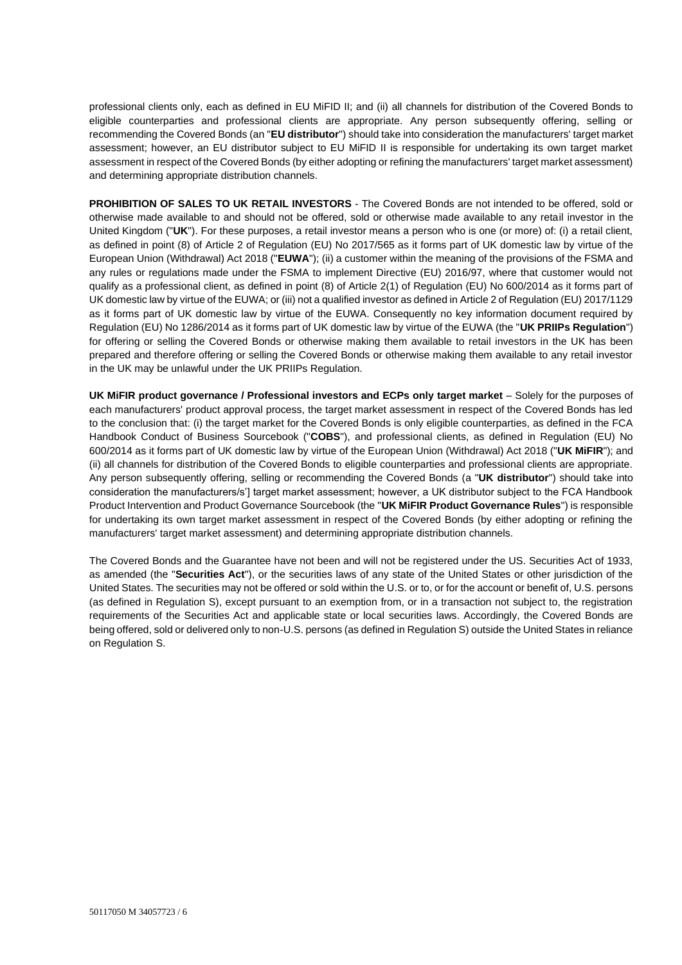professional clients only, each as defined in EU MiFID II; and (ii) all channels for distribution of the Covered Bonds to eligible counterparties and professional clients are appropriate. Any person subsequently offering, selling or recommending the Covered Bonds (an "**EU distributor**") should take into consideration the manufacturers' target market assessment; however, an EU distributor subject to EU MiFID II is responsible for undertaking its own target market assessment in respect of the Covered Bonds (by either adopting or refining the manufacturers' target market assessment) and determining appropriate distribution channels.

**PROHIBITION OF SALES TO UK RETAIL INVESTORS** - The Covered Bonds are not intended to be offered, sold or otherwise made available to and should not be offered, sold or otherwise made available to any retail investor in the United Kingdom ("**UK**"). For these purposes, a retail investor means a person who is one (or more) of: (i) a retail client, as defined in point (8) of Article 2 of Regulation (EU) No 2017/565 as it forms part of UK domestic law by virtue of the European Union (Withdrawal) Act 2018 ("**EUWA**"); (ii) a customer within the meaning of the provisions of the FSMA and any rules or regulations made under the FSMA to implement Directive (EU) 2016/97, where that customer would not qualify as a professional client, as defined in point (8) of Article 2(1) of Regulation (EU) No 600/2014 as it forms part of UK domestic law by virtue of the EUWA; or (iii) not a qualified investor as defined in Article 2 of Regulation (EU) 2017/1129 as it forms part of UK domestic law by virtue of the EUWA. Consequently no key information document required by Regulation (EU) No 1286/2014 as it forms part of UK domestic law by virtue of the EUWA (the "**UK PRIIPs Regulation**") for offering or selling the Covered Bonds or otherwise making them available to retail investors in the UK has been prepared and therefore offering or selling the Covered Bonds or otherwise making them available to any retail investor in the UK may be unlawful under the UK PRIIPs Regulation.

**UK MiFIR product governance / Professional investors and ECPs only target market** – Solely for the purposes of each manufacturers' product approval process, the target market assessment in respect of the Covered Bonds has led to the conclusion that: (i) the target market for the Covered Bonds is only eligible counterparties, as defined in the FCA Handbook Conduct of Business Sourcebook ("**COBS**"), and professional clients, as defined in Regulation (EU) No 600/2014 as it forms part of UK domestic law by virtue of the European Union (Withdrawal) Act 2018 ("**UK MiFIR**"); and (ii) all channels for distribution of the Covered Bonds to eligible counterparties and professional clients are appropriate. Any person subsequently offering, selling or recommending the Covered Bonds (a "**UK distributor**") should take into consideration the manufacturers/s'] target market assessment; however, a UK distributor subject to the FCA Handbook Product Intervention and Product Governance Sourcebook (the "**UK MiFIR Product Governance Rules**") is responsible for undertaking its own target market assessment in respect of the Covered Bonds (by either adopting or refining the manufacturers' target market assessment) and determining appropriate distribution channels.

The Covered Bonds and the Guarantee have not been and will not be registered under the US. Securities Act of 1933, as amended (the "**Securities Act**"), or the securities laws of any state of the United States or other jurisdiction of the United States. The securities may not be offered or sold within the U.S. or to, or for the account or benefit of, U.S. persons (as defined in Regulation S), except pursuant to an exemption from, or in a transaction not subject to, the registration requirements of the Securities Act and applicable state or local securities laws. Accordingly, the Covered Bonds are being offered, sold or delivered only to non-U.S. persons (as defined in Regulation S) outside the United States in reliance on Regulation S.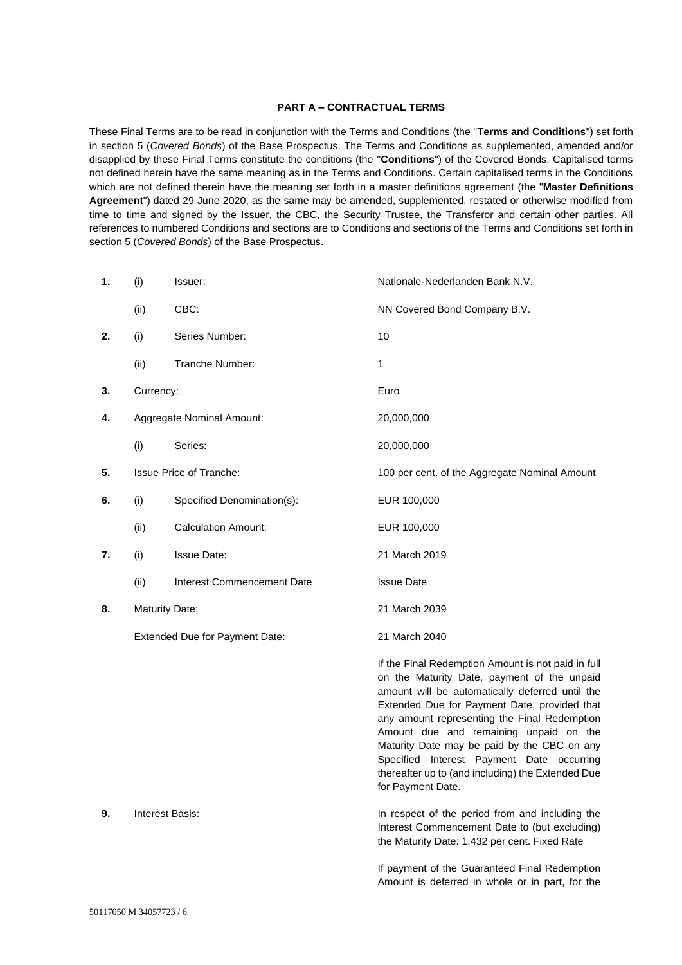### **PART A – CONTRACTUAL TERMS**

These Final Terms are to be read in conjunction with the Terms and Conditions (the "**Terms and Conditions**") set forth in section 5 (*Covered Bonds*) of the Base Prospectus. The Terms and Conditions as supplemented, amended and/or disapplied by these Final Terms constitute the conditions (the "**Conditions**") of the Covered Bonds. Capitalised terms not defined herein have the same meaning as in the Terms and Conditions. Certain capitalised terms in the Conditions which are not defined therein have the meaning set forth in a master definitions agreement (the "**Master Definitions Agreement**") dated 29 June 2020, as the same may be amended, supplemented, restated or otherwise modified from time to time and signed by the Issuer, the CBC, the Security Trustee, the Transferor and certain other parties. All references to numbered Conditions and sections are to Conditions and sections of the Terms and Conditions set forth in section 5 (*Covered Bonds*) of the Base Prospectus.

| 1. | (i)                            | Issuer:                           | Nationale-Nederlanden Bank N.V.                                                                                                                                                                                                                                                                                                                                                                                                                                      |
|----|--------------------------------|-----------------------------------|----------------------------------------------------------------------------------------------------------------------------------------------------------------------------------------------------------------------------------------------------------------------------------------------------------------------------------------------------------------------------------------------------------------------------------------------------------------------|
|    | (ii)                           | CBC:                              | NN Covered Bond Company B.V.                                                                                                                                                                                                                                                                                                                                                                                                                                         |
| 2. | (i)                            | Series Number:                    | 10                                                                                                                                                                                                                                                                                                                                                                                                                                                                   |
|    | (ii)                           | Tranche Number:                   | 1                                                                                                                                                                                                                                                                                                                                                                                                                                                                    |
| 3. | Currency:                      |                                   | Euro                                                                                                                                                                                                                                                                                                                                                                                                                                                                 |
| 4. |                                | Aggregate Nominal Amount:         | 20,000,000                                                                                                                                                                                                                                                                                                                                                                                                                                                           |
|    | (i)                            | Series:                           | 20,000,000                                                                                                                                                                                                                                                                                                                                                                                                                                                           |
| 5. |                                | <b>Issue Price of Tranche:</b>    | 100 per cent. of the Aggregate Nominal Amount                                                                                                                                                                                                                                                                                                                                                                                                                        |
| 6. | (i)                            | Specified Denomination(s):        | EUR 100,000                                                                                                                                                                                                                                                                                                                                                                                                                                                          |
|    | (ii)                           | <b>Calculation Amount:</b>        | EUR 100,000                                                                                                                                                                                                                                                                                                                                                                                                                                                          |
| 7. | (i)                            | <b>Issue Date:</b>                | 21 March 2019                                                                                                                                                                                                                                                                                                                                                                                                                                                        |
|    | (ii)                           | <b>Interest Commencement Date</b> | <b>Issue Date</b>                                                                                                                                                                                                                                                                                                                                                                                                                                                    |
| 8. | <b>Maturity Date:</b>          |                                   | 21 March 2039                                                                                                                                                                                                                                                                                                                                                                                                                                                        |
|    | Extended Due for Payment Date: |                                   | 21 March 2040                                                                                                                                                                                                                                                                                                                                                                                                                                                        |
|    |                                |                                   | If the Final Redemption Amount is not paid in full<br>on the Maturity Date, payment of the unpaid<br>amount will be automatically deferred until the<br>Extended Due for Payment Date, provided that<br>any amount representing the Final Redemption<br>Amount due and remaining unpaid on the<br>Maturity Date may be paid by the CBC on any<br>Specified Interest Payment Date occurring<br>thereafter up to (and including) the Extended Due<br>for Payment Date. |
| 9. | Interest Basis:                |                                   | In respect of the period from and including the<br>Interest Commencement Date to (but excluding)<br>the Maturity Date: 1.432 per cent. Fixed Rate                                                                                                                                                                                                                                                                                                                    |
|    |                                |                                   | If payment of the Guaranteed Final Redemption                                                                                                                                                                                                                                                                                                                                                                                                                        |

Amount is deferred in whole or in part, for the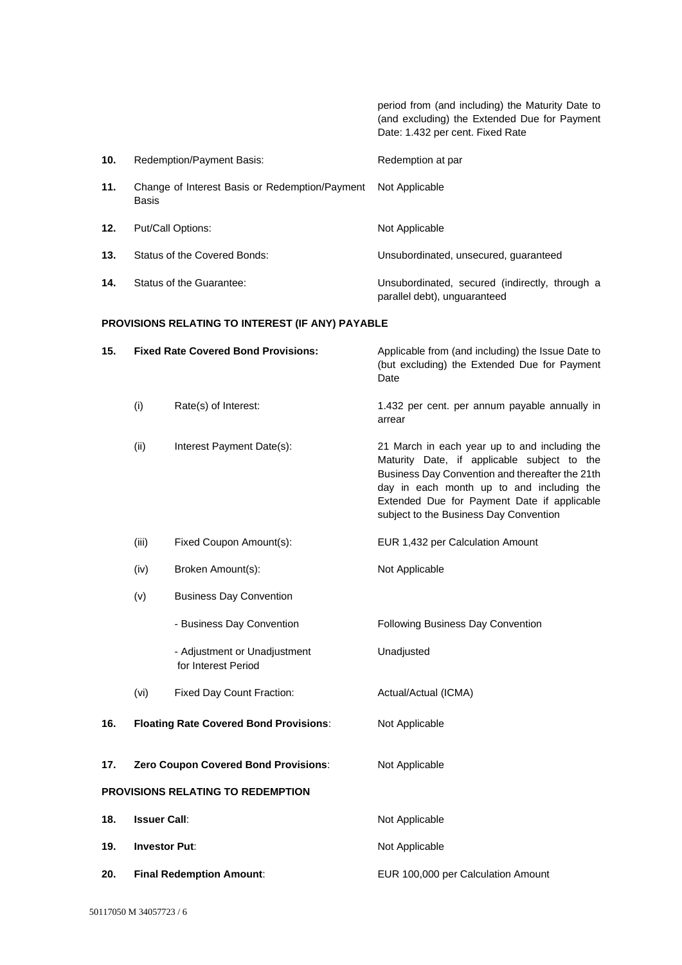period from (and including) the Maturity Date to (and excluding) the Extended Due for Payment Date: 1.432 per cent. Fixed Rate

| 10. | Redemption/Payment Basis:                               | Redemption at par                                                              |
|-----|---------------------------------------------------------|--------------------------------------------------------------------------------|
| 11. | Change of Interest Basis or Redemption/Payment<br>Basis | Not Applicable                                                                 |
| 12. | Put/Call Options:                                       | Not Applicable                                                                 |
| 13. | Status of the Covered Bonds:                            | Unsubordinated, unsecured, quaranteed                                          |
| 14. | Status of the Guarantee:                                | Unsubordinated, secured (indirectly, through a<br>parallel debt), unguaranteed |

# **PROVISIONS RELATING TO INTEREST (IF ANY) PAYABLE**

| 15.                               | <b>Fixed Rate Covered Bond Provisions:</b> |                                                     | Applicable from (and including) the Issue Date to<br>(but excluding) the Extended Due for Payment<br>Date                                                                                                                                                                             |
|-----------------------------------|--------------------------------------------|-----------------------------------------------------|---------------------------------------------------------------------------------------------------------------------------------------------------------------------------------------------------------------------------------------------------------------------------------------|
|                                   | (i)                                        | Rate(s) of Interest:                                | 1.432 per cent. per annum payable annually in<br>arrear                                                                                                                                                                                                                               |
|                                   | (ii)                                       | Interest Payment Date(s):                           | 21 March in each year up to and including the<br>Maturity Date, if applicable subject to the<br>Business Day Convention and thereafter the 21th<br>day in each month up to and including the<br>Extended Due for Payment Date if applicable<br>subject to the Business Day Convention |
|                                   | (iii)                                      | Fixed Coupon Amount(s):                             | EUR 1,432 per Calculation Amount                                                                                                                                                                                                                                                      |
|                                   | (iv)                                       | Broken Amount(s):                                   | Not Applicable                                                                                                                                                                                                                                                                        |
|                                   | (v)                                        | <b>Business Day Convention</b>                      |                                                                                                                                                                                                                                                                                       |
|                                   |                                            | - Business Day Convention                           | Following Business Day Convention                                                                                                                                                                                                                                                     |
|                                   |                                            | - Adjustment or Unadjustment<br>for Interest Period | Unadjusted                                                                                                                                                                                                                                                                            |
|                                   | (vi)                                       | Fixed Day Count Fraction:                           | Actual/Actual (ICMA)                                                                                                                                                                                                                                                                  |
| 16.                               |                                            | <b>Floating Rate Covered Bond Provisions:</b>       | Not Applicable                                                                                                                                                                                                                                                                        |
| 17.                               |                                            | Zero Coupon Covered Bond Provisions:                | Not Applicable                                                                                                                                                                                                                                                                        |
| PROVISIONS RELATING TO REDEMPTION |                                            |                                                     |                                                                                                                                                                                                                                                                                       |
| 18.                               | <b>Issuer Call:</b>                        |                                                     | Not Applicable                                                                                                                                                                                                                                                                        |
| 19.                               | <b>Investor Put:</b>                       |                                                     | Not Applicable                                                                                                                                                                                                                                                                        |
| 20.                               | <b>Final Redemption Amount:</b>            |                                                     | EUR 100,000 per Calculation Amount                                                                                                                                                                                                                                                    |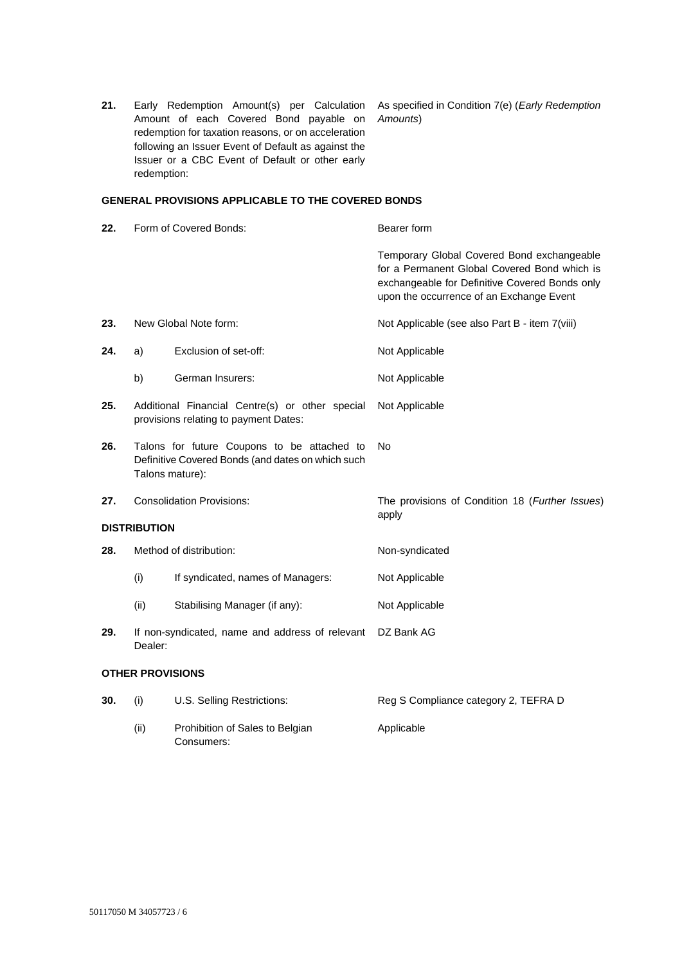**21.** Early Redemption Amount(s) per Calculation As specified in Condition 7(e) (*Early Redemption*  Amount of each Covered Bond payable on *Amounts*) redemption for taxation reasons, or on acceleration following an Issuer Event of Default as against the Issuer or a CBC Event of Default or other early redemption:

## **GENERAL PROVISIONS APPLICABLE TO THE COVERED BONDS**

| 22.                 |                                                                                                                     | Form of Covered Bonds:                          | Bearer form                                                                                                                                                                              |
|---------------------|---------------------------------------------------------------------------------------------------------------------|-------------------------------------------------|------------------------------------------------------------------------------------------------------------------------------------------------------------------------------------------|
|                     |                                                                                                                     |                                                 | Temporary Global Covered Bond exchangeable<br>for a Permanent Global Covered Bond which is<br>exchangeable for Definitive Covered Bonds only<br>upon the occurrence of an Exchange Event |
| 23.                 | New Global Note form:                                                                                               |                                                 | Not Applicable (see also Part B - item 7(viii)                                                                                                                                           |
| 24.                 | a)                                                                                                                  | Exclusion of set-off:                           | Not Applicable                                                                                                                                                                           |
|                     | b)                                                                                                                  | German Insurers:                                | Not Applicable                                                                                                                                                                           |
| 25.                 | Additional Financial Centre(s) or other special<br>provisions relating to payment Dates:                            |                                                 | Not Applicable                                                                                                                                                                           |
| 26.                 | Talons for future Coupons to be attached to<br>Definitive Covered Bonds (and dates on which such<br>Talons mature): |                                                 | No                                                                                                                                                                                       |
| 27.                 | <b>Consolidation Provisions:</b>                                                                                    |                                                 | The provisions of Condition 18 (Further Issues)<br>apply                                                                                                                                 |
| <b>DISTRIBUTION</b> |                                                                                                                     |                                                 |                                                                                                                                                                                          |
| 28.                 | Method of distribution:                                                                                             |                                                 | Non-syndicated                                                                                                                                                                           |
|                     | (i)                                                                                                                 | If syndicated, names of Managers:               | Not Applicable                                                                                                                                                                           |
|                     | (ii)                                                                                                                | Stabilising Manager (if any):                   | Not Applicable                                                                                                                                                                           |
| 29.                 | Dealer:                                                                                                             | If non-syndicated, name and address of relevant | DZ Bank AG                                                                                                                                                                               |
|                     | <b>OTHER PROVISIONS</b>                                                                                             |                                                 |                                                                                                                                                                                          |
| 30.                 | (i)                                                                                                                 | U.S. Selling Restrictions:                      | Reg S Compliance category 2, TEFRA D                                                                                                                                                     |

(ii) Prohibition of Sales to Belgian Consumers: Applicable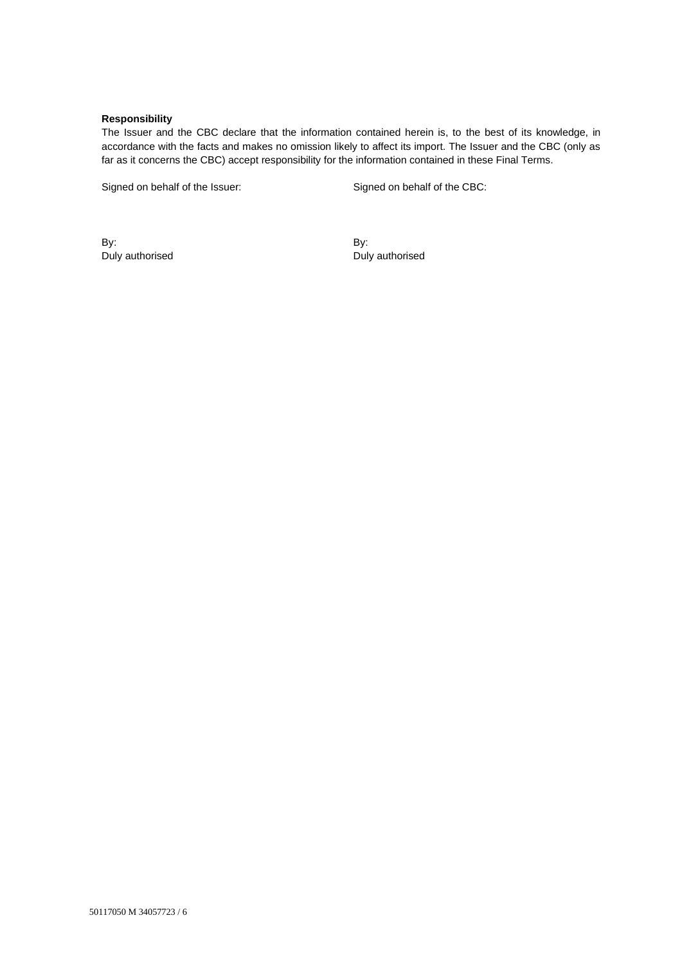## **Responsibility**

The Issuer and the CBC declare that the information contained herein is, to the best of its knowledge, in accordance with the facts and makes no omission likely to affect its import. The Issuer and the CBC (only as far as it concerns the CBC) accept responsibility for the information contained in these Final Terms.

Signed on behalf of the Issuer: Signed on behalf of the CBC:

By: Duly authorised By: Duly authorised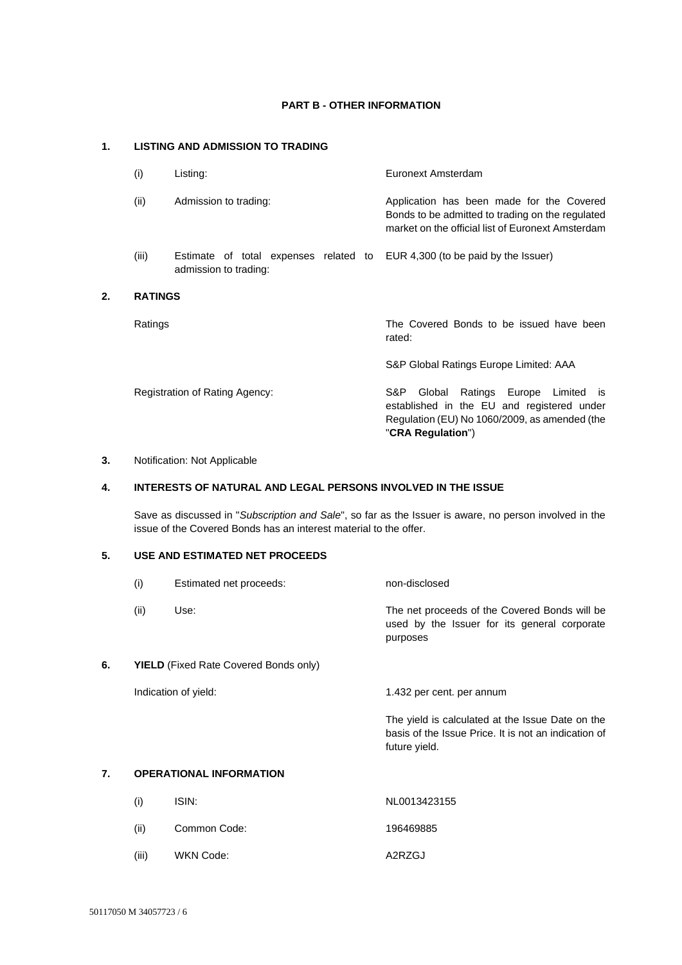## **PART B - OTHER INFORMATION**

# **1. LISTING AND ADMISSION TO TRADING**

| (i)            | Listing:                                                       | Euronext Amsterdam                                                                                                                                                  |
|----------------|----------------------------------------------------------------|---------------------------------------------------------------------------------------------------------------------------------------------------------------------|
| (ii)           | Admission to trading:                                          | Application has been made for the Covered<br>Bonds to be admitted to trading on the regulated<br>market on the official list of Euronext Amsterdam                  |
| (iii)          | Estimate of total expenses related to<br>admission to trading: | EUR 4,300 (to be paid by the Issuer)                                                                                                                                |
| <b>RATINGS</b> |                                                                |                                                                                                                                                                     |
| Ratings        |                                                                | The Covered Bonds to be issued have been<br>rated:                                                                                                                  |
|                |                                                                | S&P Global Ratings Europe Limited: AAA                                                                                                                              |
|                | Registration of Rating Agency:                                 | Ratings Europe Limited<br>S&P.<br>Global<br>is.<br>established in the EU and registered under<br>Regulation (EU) No 1060/2009, as amended (the<br>"CRA Regulation") |

## **3.** Notification: Not Applicable

**2. RATINGS**

# **4. INTERESTS OF NATURAL AND LEGAL PERSONS INVOLVED IN THE ISSUE**

Save as discussed in "*Subscription and Sale*", so far as the Issuer is aware, no person involved in the issue of the Covered Bonds has an interest material to the offer.

# **5. USE AND ESTIMATED NET PROCEEDS**

|    | (i)                                          | Estimated net proceeds:        | non-disclosed                                                                                                             |
|----|----------------------------------------------|--------------------------------|---------------------------------------------------------------------------------------------------------------------------|
|    | (ii)                                         | Use:                           | The net proceeds of the Covered Bonds will be<br>used by the Issuer for its general corporate<br>purposes                 |
| 6. | <b>YIELD</b> (Fixed Rate Covered Bonds only) |                                |                                                                                                                           |
|    |                                              | Indication of yield:           | 1.432 per cent. per annum                                                                                                 |
|    |                                              |                                | The yield is calculated at the Issue Date on the<br>basis of the Issue Price. It is not an indication of<br>future yield. |
| 7. |                                              | <b>OPERATIONAL INFORMATION</b> |                                                                                                                           |
|    | (i)                                          | ISIN:                          | NL0013423155                                                                                                              |

- (ii) Common Code: 196469885
- (iii) WKN Code: A2RZGJ